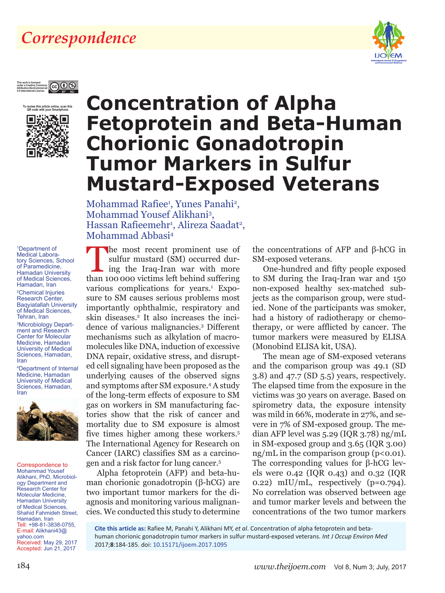## *Correspondence*



#### **This work is licensed**   $\circledcirc$ **under a Creative Commons Attribution-NonCommercial 4.0 International License.**



## **Fetoprotein and Βeta-Human Chorionic Gonadotropin Tumor Markers in Sulfur Mustard-Exposed Veterans**

**Concentration of Alpha** 

Mohammad Rafiee<sup>1</sup>, Yunes Panahi<sup>2</sup>, Mohammad Yousef Alikhani3 , Hassan Rafieemehr<sup>1</sup>, Alireza Saadat<sup>2</sup>, Mohammad Abbasi4

1 Department of Medical Laboratory Sciences, School of Paramedicine, Hamadan University of Medical Sciences, Hamadan, Iran

2 Chemical Injuries Research Center, Baqyiatallah University of Medical Sciences, Tehran, Iran

3 Microbiology Department and Research Center for Molecular Medicine, Hamadan University of Medical Sciences, Hamadan, Iran

4 Department of Internal Medicine, Hamadan University of Medical Sciences, Hamadan, Iran



Correspondence to Mohammad Yousef Alikhani, PhD, Microbiology Department and Research Center for Molecular Medicine, Hamadan University of Medical Sciences, Shahid Fahmideh Street, Hamadan, Iran Tell: +98-81-3838-0755, E-mail: Alikhani43@ yahoo.com Received: May 29, 2017 Accepted: Jun 21, 2017

The most recent prominent use of sulfur mustard (SM) occurred during the Iraq-Iran war with more than 100,000 victims left behind suffering. sulfur mustard (SM) occurred durthan 100 000 victims left behind suffering various complications for years.<sup>1</sup> Exposure to SM causes serious problems most importantly ophthalmic, respiratory and skin diseases.<sup>2</sup> It also increases the incidence of various malignancies.3 Different mechanisms such as alkylation of macromolecules like DNA, induction of excessive DNA repair, oxidative stress, and disrupted cell signaling have been proposed as the underlying causes of the observed signs and symptoms after SM exposure.4 A study of the long-term effects of exposure to SM gas on workers in SM manufacturing factories show that the risk of cancer and mortality due to SM exposure is almost five times higher among these workers.5 The International Agency for Research on Cancer (IARC) classifies SM as a carcinogen and a risk factor for lung cancer.5

Alpha fetoprotein (AFP) and beta-human chorionic gonadotropin (β-hCG) are two important tumor markers for the diagnosis and monitoring various malignancies. We conducted this study to determine the concentrations of AFP and β-hCG in SM-exposed veterans.

One-hundred and fifty people exposed to SM during the Iraq-Iran war and 150 non-exposed healthy sex-matched subjects as the comparison group, were studied. None of the participants was smoker, had a history of radiotherapy or chemotherapy, or were afflicted by cancer. The tumor markers were measured by ELISA (Monobind ELISA kit, USA).

The mean age of SM-exposed veterans and the comparison group was 49.1 (SD 3.8) and 47.7 (SD 5.5) years, respectively. The elapsed time from the exposure in the victims was 30 years on average. Based on spirometry data, the exposure intensity was mild in 66%, moderate in 27%, and severe in 7% of SM-exposed group. The median AFP level was 5.29 (IQR 3.78) ng/mL in SM-exposed group and 3.65 (IQR 3.00)  $ng/mL$  in the comparison group ( $p<0.01$ ). The corresponding values for β-hCG levels were 0.42 (IQR 0.43) and 0.32 (IQR 0.22) mIU/mL, respectively  $(p=0.794)$ . No correlation was observed between age and tumor marker levels and between the concentrations of the two tumor markers

**Cite this article as:** Rafiee M, Panahi Y, Alikhani MY, *et al*. Concentration of alpha fetoprotein and betahuman chorionic gonadotropin tumor markers in sulfur mustard-exposed veterans. *Int J Occup Environ Med* 2017;**8**:184-185. doi: [10.15171/ijoem.2017.1095](http://dx.doi.org/10.15171/ijoem.2017.1095)